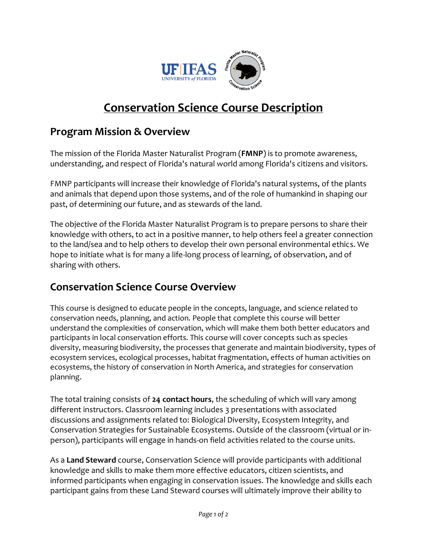

## **Conservation Science Course Description**

## **Program Mission & Overview**

The mission of the Florida Master Naturalist Program (**FMNP**) is to promote awareness, understanding, and respect of Florida's natural world among Florida's citizens and visitors.

FMNP participants will increase their knowledge of Florida's natural systems, of the plants and animals that depend upon those systems, and of the role of humankind in shaping our past, of determining our future, and as stewards of the land.

The objective of the Florida Master Naturalist Program is to prepare persons to share their knowledge with others, to act in a positive manner, to help others feel a greater connection to the land/sea and to help others to develop their own personal environmental ethics. We hope to initiate what is for many a life-long process of learning, of observation, and of sharing with others.

## **Conservation Science Course Overview**

This course is designed to educate people in the concepts, language, and science related to conservation needs, planning, and action. People that complete this course will better understand the complexities of conservation, which will make them both better educators and participants in local conservation efforts. This course will cover concepts such as species diversity, measuring biodiversity, the processes that generate and maintain biodiversity, types of ecosystem services, ecological processes, habitat fragmentation, effects of human activities on ecosystems, the history of conservation in North America, and strategies for conservation planning.

The total training consists of **24 contact hours**, the scheduling of which will vary among different instructors. Classroom learning includes 3 presentations with associated discussions and assignments related to: Biological Diversity, Ecosystem Integrity, and Conservation Strategies for Sustainable Ecosystems. Outside of the classroom (virtual or inperson), participants will engage in hands-on field activities related to the course units.

As a **Land Steward** course, Conservation Science will provide participants with additional knowledge and skills to make them more effective educators, citizen scientists, and informed participants when engaging in conservation issues. The knowledge and skills each participant gains from these Land Steward courses will ultimately improve their ability to